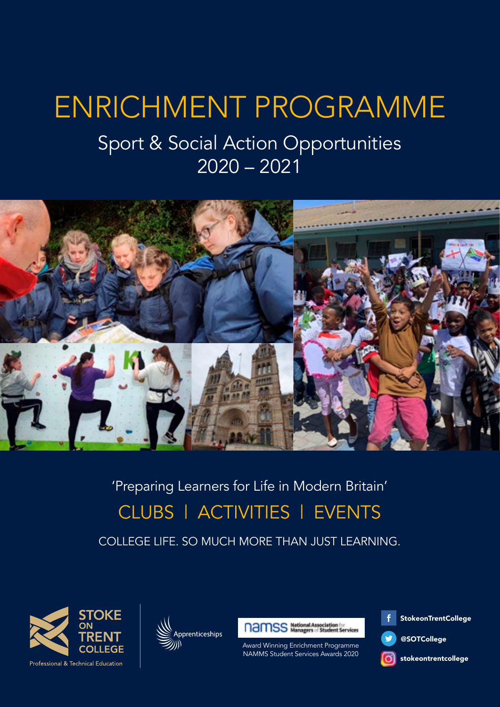# ENRICHMENT PROGRAMME

### Sport & Social Action Opportunities 2020 – 2021



### 'Preparing Learners for Life in Modern Britain' CLUBS | ACTIVITIES | EVENTS

COLLEGE LIFE. SO MUCH MORE THAN JUST LEARNING.







Award Winning Enrichment Programme NAMMS Student Services Awards 2020

**StokeonTrentCollege** 

@SOTCollege

stokeontrentcollege

**Professional & Technical Education**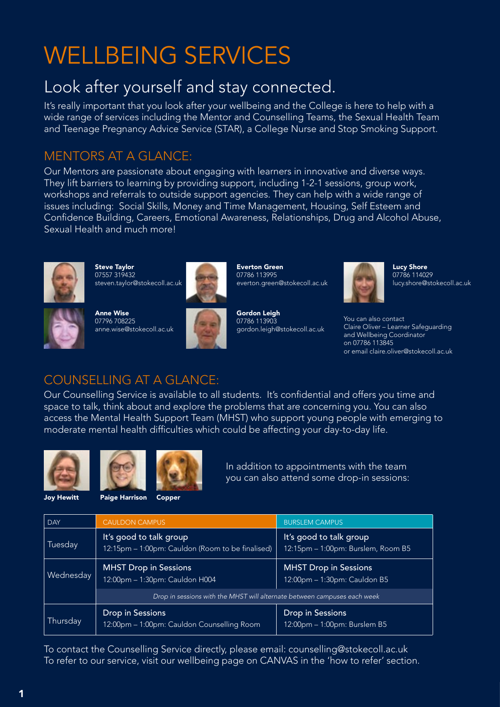## WELLBEING SERVICES

#### Look after yourself and stay connected.

It's really important that you look after your wellbeing and the College is here to help with a wide range of services including the Mentor and Counselling Teams, the Sexual Health Team and Teenage Pregnancy Advice Service (STAR), a College Nurse and Stop Smoking Support.

#### MENTORS AT A GLANCE:

Our Mentors are passionate about engaging with learners in innovative and diverse ways. They lift barriers to learning by providing support, including 1-2-1 sessions, group work, workshops and referrals to outside support agencies. They can help with a wide range of issues including: Social Skills, Money and Time Management, Housing, Self Esteem and Confidence Building, Careers, Emotional Awareness, Relationships, Drug and Alcohol Abuse, Sexual Health and much more!



Steve Taylor 07557 319432 steven.taylor@stokecoll.ac.uk



Anne Wise 07796 708225 anne.wise@stokecoll.ac.uk



Everton Green 07786 113995 everton.green@stokecoll.ac.uk





Lucy Shore 07786 114029 lucy.shore@stokecoll.ac.uk

You can also contact Claire Oliver – Learner Safeguarding and Wellbeing Coordinator on 07786 113845 or email claire.oliver@stokecoll.ac.uk

#### COUNSELLING AT A GLANCE:

Our Counselling Service is available to all students. It's confidential and offers you time and space to talk, think about and explore the problems that are concerning you. You can also access the Mental Health Support Team (MHST) who support young people with emerging to moderate mental health difficulties which could be affecting your day-to-day life.





In addition to appointments with the team you can also attend some drop-in sessions:

Joy Hewitt Paige Harrison Copper

| <b>DAY</b> | <b>CAULDON CAMPUS</b>                                                       | <b>BURSLEM CAMPUS</b>                                         |  |
|------------|-----------------------------------------------------------------------------|---------------------------------------------------------------|--|
| Tuesday    | It's good to talk group<br>12:15pm - 1:00pm: Cauldon (Room to be finalised) | It's good to talk group<br>12:15pm – 1:00pm: Burslem, Room B5 |  |
| Wednesday  | <b>MHST Drop in Sessions</b><br>12:00pm - 1:30pm: Cauldon H004              | <b>MHST Drop in Sessions</b><br>12:00pm - 1:30pm: Cauldon B5  |  |
|            | Drop in sessions with the MHST will alternate between campuses each week    |                                                               |  |
| Thursday   | Drop in Sessions<br>12:00pm - 1:00pm: Cauldon Counselling Room              | <b>Drop in Sessions</b><br>12:00pm - 1:00pm: Burslem B5       |  |

To contact the Counselling Service directly, please email: counselling@stokecoll.ac.uk To refer to our service, visit our wellbeing page on CANVAS in the 'how to refer' section.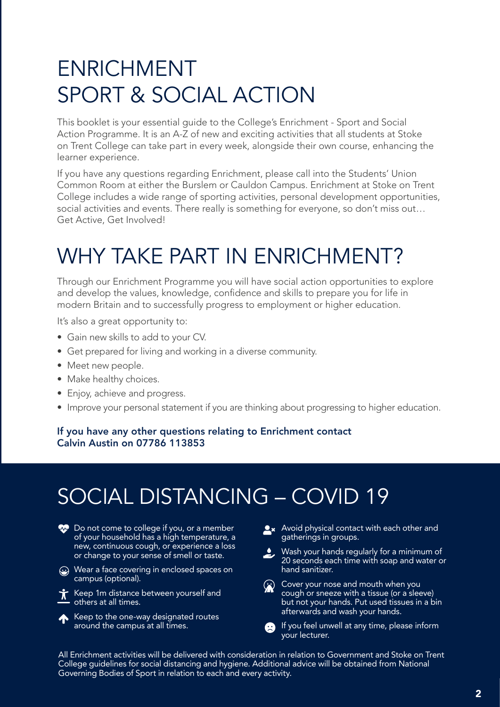## ENRICHMENT SPORT & SOCIAL ACTION

This booklet is your essential guide to the College's Enrichment - Sport and Social Action Programme. It is an A-Z of new and exciting activities that all students at Stoke on Trent College can take part in every week, alongside their own course, enhancing the learner experience.

If you have any questions regarding Enrichment, please call into the Students' Union Common Room at either the Burslem or Cauldon Campus. Enrichment at Stoke on Trent College includes a wide range of sporting activities, personal development opportunities, social activities and events. There really is something for everyone, so don't miss out… Get Active, Get Involved!

## WHY TAKE PART IN ENRICHMENT?

Through our Enrichment Programme you will have social action opportunities to explore and develop the values, knowledge, confidence and skills to prepare you for life in modern Britain and to successfully progress to employment or higher education.

It's also a great opportunity to:

- Gain new skills to add to your CV.
- Get prepared for living and working in a diverse community.
- Meet new people.
- Make healthy choices.
- Enjoy, achieve and progress.
- Improve your personal statement if you are thinking about progressing to higher education.

#### If you have any other questions relating to Enrichment contact Calvin Austin on 07786 113853

## SOCIAL DISTANCING – COVID 19

- **Comechanger** Do not come to college if you, or a member of your household has a high temperature, a new, continuous cough, or experience a loss or change to your sense of smell or taste.
- $\overline{\langle \cdot \rangle}$  Wear a face covering in enclosed spaces on campus (optional).
- $\overline{X}$  Keep 1m distance between yourself and others at all times.
- Keep to the one-way designated routes around the campus at all times.
- **Ax** Avoid physical contact with each other and gatherings in groups.
- Wash your hands regularly for a minimum of 20 seconds each time with soap and water or hand sanitizer.
- Cover your nose and mouth when you cough or sneeze with a tissue (or a sleeve) but not your hands. Put used tissues in a bin afterwards and wash your hands.
- If you feel unwell at any time, please inform your lecturer.

All Enrichment activities will be delivered with consideration in relation to Government and Stoke on Trent College guidelines for social distancing and hygiene. Additional advice will be obtained from National Governing Bodies of Sport in relation to each and every activity.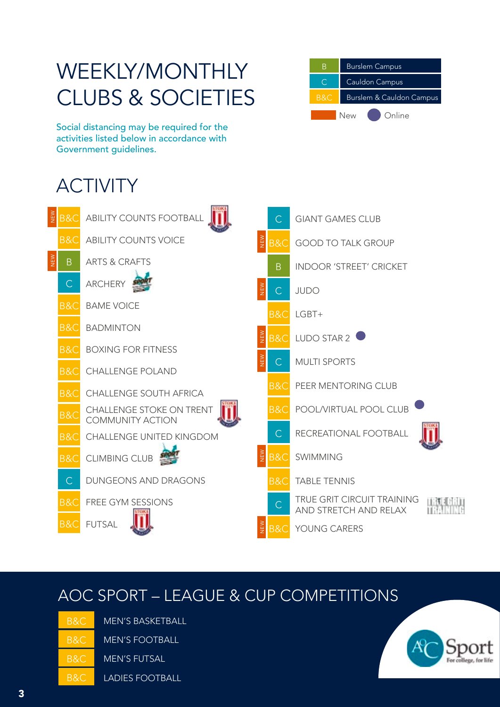## WEEKLY/MONTHLY CLUBS & SOCIETIES



Social distancing may be required for the activities listed below in accordance with Government guidelines.

## ACTIVITY



#### AOC SPORT – LEAGUE & CUP COMPETITIONS

| B&C. | MEN'S        |
|------|--------------|
| B&C  | MEN'S        |
| B&C. | MEN'S        |
| B&C  | <b>LADIE</b> |

**BASKETBALL** 

**FOOTBALL** 

**FUTSAL** 

S FOOTBALL

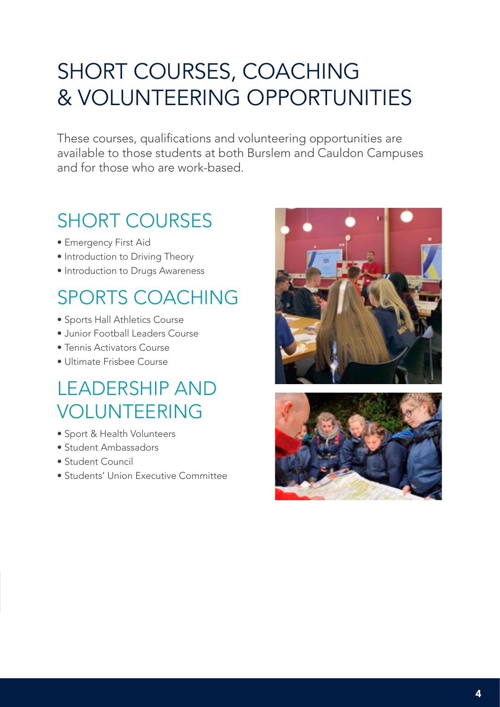## SHORT COURSES, COACHING & VOLUNTEERING OPPORTUNITIES

These courses, qualifications and volunteering opportunities are available to those students at both Burslem and Cauldon Campuses and for those who are work-based.

### SHORT COURSES

- Emergency First Aid
- Introduction to Driving Theory
- Introduction to Drugs Awareness

### SPORTS COACHING

- Sports Hall Athletics Course
- Junior Football Leaders Course
- Tennis Activators Course
- Ultimate Frisbee Course

### LEADERSHIP AND VOLUNTEERING

- Sport & Health Volunteers
- Student Ambassadors
- Student Council
- Students' Union Executive Committee



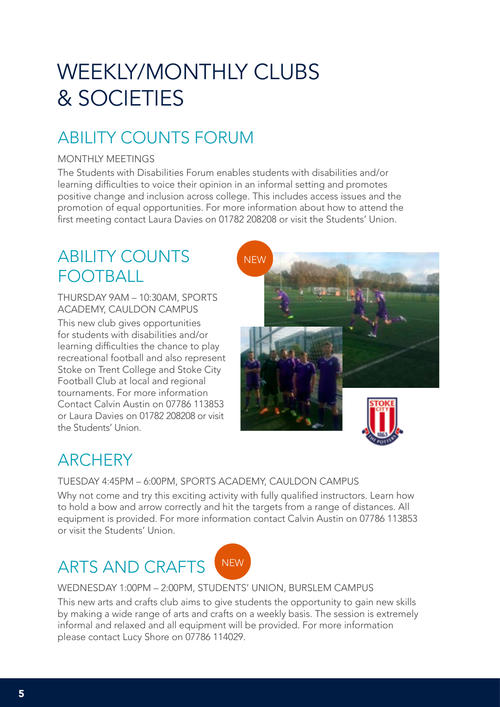## WEEKLY/MONTHLY CLUBS & SOCIETIES

### ABILITY COUNTS FORUM

#### MONTHLY MEETINGS

The Students with Disabilities Forum enables students with disabilities and/or learning difficulties to voice their opinion in an informal setting and promotes positive change and inclusion across college. This includes access issues and the promotion of equal opportunities. For more information about how to attend the first meeting contact Laura Davies on 01782 208208 or visit the Students' Union.

### ABILITY COUNTS FOOTBALL

THURSDAY 9AM – 10:30AM, SPORTS ACADEMY, CAULDON CAMPUS

This new club gives opportunities for students with disabilities and/or learning difficulties the chance to play recreational football and also represent Stoke on Trent College and Stoke City Football Club at local and regional tournaments. For more information Contact Calvin Austin on 07786 113853 or Laura Davies on 01782 208208 or visit the Students' Union.



### **ARCHERY**

TUESDAY 4:45PM – 6:00PM, SPORTS ACADEMY, CAULDON CAMPUS

Why not come and try this exciting activity with fully qualified instructors. Learn how to hold a bow and arrow correctly and hit the targets from a range of distances. All equipment is provided. For more information contact Calvin Austin on 07786 113853 or visit the Students' Union.

### ARTS AND CRAFTS INEW



WEDNESDAY 1:00PM – 2:00PM, STUDENTS' UNION, BURSLEM CAMPUS

This new arts and crafts club aims to give students the opportunity to gain new skills by making a wide range of arts and crafts on a weekly basis. The session is extremely informal and relaxed and all equipment will be provided. For more information please contact Lucy Shore on 07786 114029.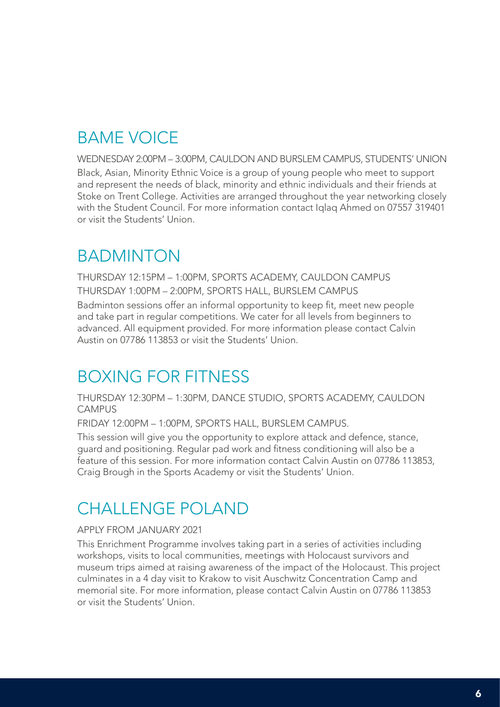#### BAME VOICE

WEDNESDAY 2:00PM – 3:00PM, CAULDON AND BURSLEM CAMPUS, STUDENTS' UNION Black, Asian, Minority Ethnic Voice is a group of young people who meet to support and represent the needs of black, minority and ethnic individuals and their friends at Stoke on Trent College. Activities are arranged throughout the year networking closely with the Student Council. For more information contact Iqlaq Ahmed on 07557 319401 or visit the Students' Union.

#### BADMINTON

THURSDAY 12:15PM – 1:00PM, SPORTS ACADEMY, CAULDON CAMPUS THURSDAY 1:00PM – 2:00PM, SPORTS HALL, BURSLEM CAMPUS

Badminton sessions offer an informal opportunity to keep fit, meet new people and take part in regular competitions. We cater for all levels from beginners to advanced. All equipment provided. For more information please contact Calvin Austin on 07786 113853 or visit the Students' Union.

#### BOXING FOR FITNESS

THURSDAY 12:30PM – 1:30PM, DANCE STUDIO, SPORTS ACADEMY, CAULDON CAMPUS

FRIDAY 12:00PM – 1:00PM, SPORTS HALL, BURSLEM CAMPUS.

This session will give you the opportunity to explore attack and defence, stance, guard and positioning. Regular pad work and fitness conditioning will also be a feature of this session. For more information contact Calvin Austin on 07786 113853, Craig Brough in the Sports Academy or visit the Students' Union.

#### CHALLENGE POLAND

#### APPLY FROM JANUARY 2021

This Enrichment Programme involves taking part in a series of activities including workshops, visits to local communities, meetings with Holocaust survivors and museum trips aimed at raising awareness of the impact of the Holocaust. This project culminates in a 4 day visit to Krakow to visit Auschwitz Concentration Camp and memorial site. For more information, please contact Calvin Austin on 07786 113853 or visit the Students' Union.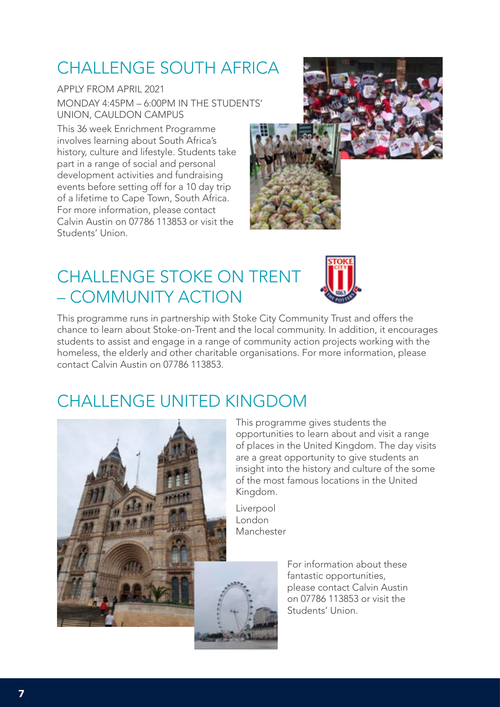### CHALLENGE SOUTH AFRICA

APPLY FROM APRIL 2021 MONDAY 4:45PM – 6:00PM IN THE STUDENTS' UNION, CAULDON CAMPUS

This 36 week Enrichment Programme involves learning about South Africa's history, culture and lifestyle. Students take part in a range of social and personal development activities and fundraising events before setting off for a 10 day trip of a lifetime to Cape Town, South Africa. For more information, please contact Calvin Austin on 07786 113853 or visit the Students' Union.

### CHALLENGE STOKE ON TRENT – COMMUNITY ACTION



This programme runs in partnership with Stoke City Community Trust and offers the chance to learn about Stoke-on-Trent and the local community. In addition, it encourages students to assist and engage in a range of community action projects working with the homeless, the elderly and other charitable organisations. For more information, please contact Calvin Austin on 07786 113853.

#### CHALLENGE UNITED KINGDOM



This programme gives students the opportunities to learn about and visit a range of places in the United Kingdom. The day visits are a great opportunity to give students an insight into the history and culture of the some of the most famous locations in the United Kingdom.

Liverpool London Manchester



For information about these fantastic opportunities, please contact Calvin Austin on 07786 113853 or visit the Students' Union.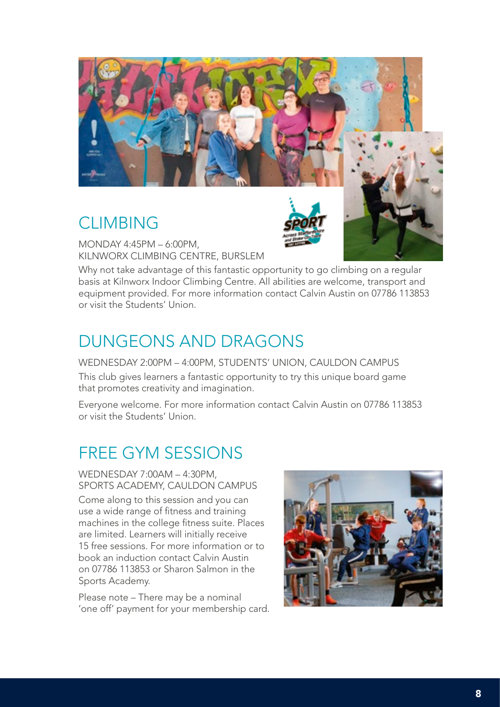

#### CLIMBING

MONDAY 4:45PM – 6:00PM, KILNWORX CLIMBING CENTRE, BURSLEM

Why not take advantage of this fantastic opportunity to go climbing on a regular basis at Kilnworx Indoor Climbing Centre. All abilities are welcome, transport and equipment provided. For more information contact Calvin Austin on 07786 113853 or visit the Students' Union.

#### DUNGEONS AND DRAGONS

WEDNESDAY 2:00PM – 4:00PM, STUDENTS' UNION, CAULDON CAMPUS This club gives learners a fantastic opportunity to try this unique board game that promotes creativity and imagination.

Everyone welcome. For more information contact Calvin Austin on 07786 113853 or visit the Students' Union.

#### FREE GYM SESSIONS

WEDNESDAY 7:00AM – 4:30PM, SPORTS ACADEMY, CAULDON CAMPUS

Come along to this session and you can use a wide range of fitness and training machines in the college fitness suite. Places are limited. Learners will initially receive 15 free sessions. For more information or to book an induction contact Calvin Austin on 07786 113853 or Sharon Salmon in the Sports Academy.

Please note – There may be a nominal 'one off' payment for your membership card.

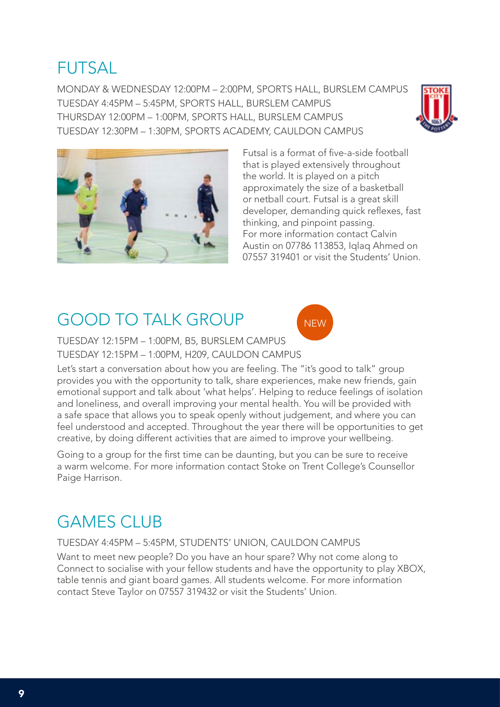#### FUTSAL

MONDAY & WEDNESDAY 12:00PM – 2:00PM, SPORTS HALL, BURSLEM CAMPUS TUESDAY 4:45PM – 5:45PM, SPORTS HALL, BURSLEM CAMPUS THURSDAY 12:00PM – 1:00PM, SPORTS HALL, BURSLEM CAMPUS TUESDAY 12:30PM – 1:30PM, SPORTS ACADEMY, CAULDON CAMPUS





Futsal is a format of five-a-side football that is played extensively throughout the world. It is played on a pitch approximately the size of a basketball or netball court. Futsal is a great skill developer, demanding quick reflexes, fast thinking, and pinpoint passing. For more information contact Calvin Austin on 07786 113853, Iqlaq Ahmed on 07557 319401 or visit the Students' Union.

#### GOOD TO TALK GROUP



TUESDAY 12:15PM – 1:00PM, B5, BURSLEM CAMPUS TUESDAY 12:15PM – 1:00PM, H209, CAULDON CAMPUS

Let's start a conversation about how you are feeling. The "it's good to talk" group provides you with the opportunity to talk, share experiences, make new friends, gain emotional support and talk about 'what helps'. Helping to reduce feelings of isolation and loneliness, and overall improving your mental health. You will be provided with a safe space that allows you to speak openly without judgement, and where you can feel understood and accepted. Throughout the year there will be opportunities to get creative, by doing different activities that are aimed to improve your wellbeing.

Going to a group for the first time can be daunting, but you can be sure to receive a warm welcome. For more information contact Stoke on Trent College's Counsellor Paige Harrison.

#### **GAMES CLUB**

#### TUESDAY 4:45PM – 5:45PM, STUDENTS' UNION, CAULDON CAMPUS

Want to meet new people? Do you have an hour spare? Why not come along to Connect to socialise with your fellow students and have the opportunity to play XBOX, table tennis and giant board games. All students welcome. For more information contact Steve Taylor on 07557 319432 or visit the Students' Union.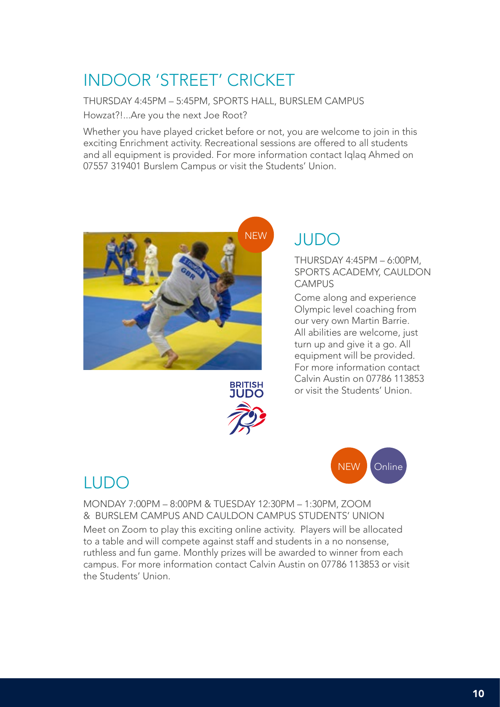### INDOOR 'STREET' CRICKET

THURSDAY 4:45PM – 5:45PM, SPORTS HALL, BURSLEM CAMPUS Howzat?!...Are you the next Joe Root?

Whether you have played cricket before or not, you are welcome to join in this exciting Enrichment activity. Recreational sessions are offered to all students and all equipment is provided. For more information contact Iqlaq Ahmed on 07557 319401 Burslem Campus or visit the Students' Union.



#### JUDO

THURSDAY 4:45PM – 6:00PM, SPORTS ACADEMY, CAULDON **CAMPUS** 

Come along and experience Olympic level coaching from our very own Martin Barrie. All abilities are welcome, just turn up and give it a go. All equipment will be provided. For more information contact Calvin Austin on 07786 113853 or visit the Students' Union.





#### LUDO

MONDAY 7:00PM – 8:00PM & TUESDAY 12:30PM – 1:30PM, ZOOM & BURSLEM CAMPUS AND CAULDON CAMPUS STUDENTS' UNION Meet on Zoom to play this exciting online activity. Players will be allocated to a table and will compete against staff and students in a no nonsense, ruthless and fun game. Monthly prizes will be awarded to winner from each campus. For more information contact Calvin Austin on 07786 113853 or visit the Students' Union.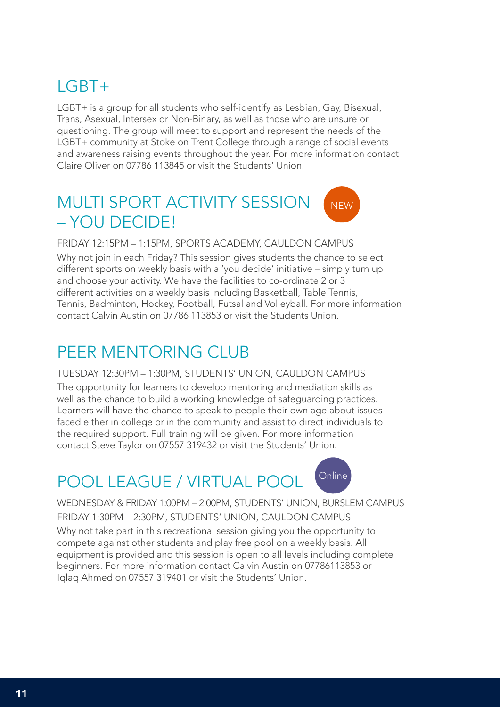#### LGBT+

LGBT+ is a group for all students who self-identify as Lesbian, Gay, Bisexual, Trans, Asexual, Intersex or Non-Binary, as well as those who are unsure or questioning. The group will meet to support and represent the needs of the LGBT+ community at Stoke on Trent College through a range of social events and awareness raising events throughout the year. For more information contact Claire Oliver on 07786 113845 or visit the Students' Union.

#### MULTI SPORT ACTIVITY SESSION – YOU DECIDE! **NEW**

FRIDAY 12:15PM – 1:15PM, SPORTS ACADEMY, CAULDON CAMPUS

Why not join in each Friday? This session gives students the chance to select different sports on weekly basis with a 'you decide' initiative – simply turn up and choose your activity. We have the facilities to co-ordinate 2 or 3 different activities on a weekly basis including Basketball, Table Tennis, Tennis, Badminton, Hockey, Football, Futsal and Volleyball. For more information contact Calvin Austin on 07786 113853 or visit the Students Union.

#### PEER MENTORING CLUB

#### TUESDAY 12:30PM – 1:30PM, STUDENTS' UNION, CAULDON CAMPUS

The opportunity for learners to develop mentoring and mediation skills as well as the chance to build a working knowledge of safeguarding practices. Learners will have the chance to speak to people their own age about issues faced either in college or in the community and assist to direct individuals to the required support. Full training will be given. For more information contact Steve Taylor on 07557 319432 or visit the Students' Union.

#### POOL LEAGUE / VIRTUAL POOL



WEDNESDAY & FRIDAY 1:00PM – 2:00PM, STUDENTS' UNION, BURSLEM CAMPUS FRIDAY 1:30PM – 2:30PM, STUDENTS' UNION, CAULDON CAMPUS

Why not take part in this recreational session giving you the opportunity to compete against other students and play free pool on a weekly basis. All equipment is provided and this session is open to all levels including complete beginners. For more information contact Calvin Austin on 07786113853 or Iqlaq Ahmed on 07557 319401 or visit the Students' Union.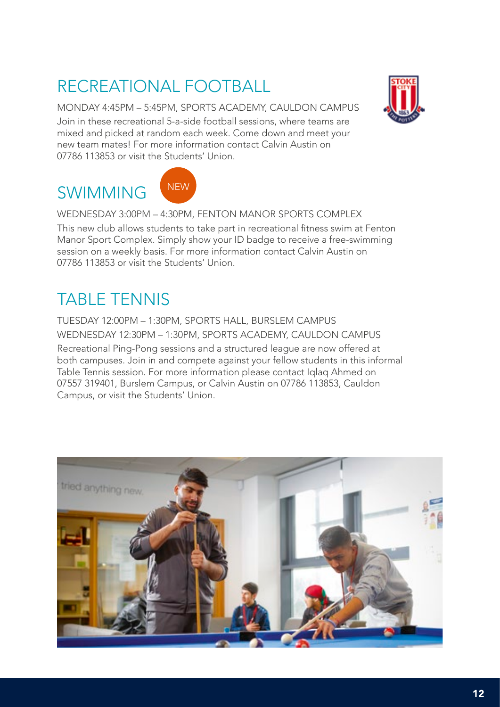### RECREATIONAL FOOTBALL

MONDAY 4:45PM – 5:45PM, SPORTS ACADEMY, CAULDON CAMPUS Join in these recreational 5-a-side football sessions, where teams are mixed and picked at random each week. Come down and meet your new team mates! For more information contact Calvin Austin on 07786 113853 or visit the Students' Union.

### SWIMMING



WEDNESDAY 3:00PM – 4:30PM, FENTON MANOR SPORTS COMPLEX

This new club allows students to take part in recreational fitness swim at Fenton Manor Sport Complex. Simply show your ID badge to receive a free-swimming session on a weekly basis. For more information contact Calvin Austin on 07786 113853 or visit the Students' Union.

### TABLE TENNIS

TUESDAY 12:00PM – 1:30PM, SPORTS HALL, BURSLEM CAMPUS WEDNESDAY 12:30PM – 1:30PM, SPORTS ACADEMY, CAULDON CAMPUS

Recreational Ping-Pong sessions and a structured league are now offered at both campuses. Join in and compete against your fellow students in this informal Table Tennis session. For more information please contact Iqlaq Ahmed on 07557 319401, Burslem Campus, or Calvin Austin on 07786 113853, Cauldon Campus, or visit the Students' Union.

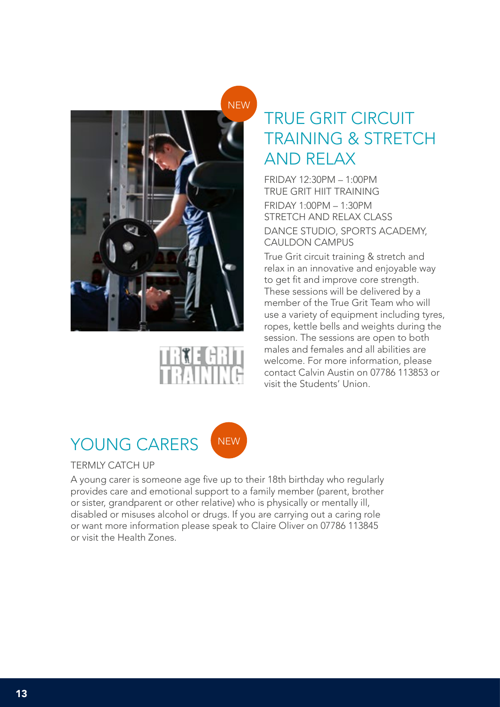

### TRUE GRIT CIRCUIT TRAINING & STRETCH AND RELAX

FRIDAY 12:30PM – 1:00PM TRUE GRIT HIIT TRAINING FRIDAY 1:00PM – 1:30PM STRETCH AND RELAX CLASS DANCE STUDIO, SPORTS ACADEMY, CAULDON CAMPUS

True Grit circuit training & stretch and relax in an innovative and enjoyable way to get fit and improve core strength. These sessions will be delivered by a member of the True Grit Team who will use a variety of equipment including tyres, ropes, kettle bells and weights during the session. The sessions are open to both males and females and all abilities are welcome. For more information, please contact Calvin Austin on 07786 113853 or visit the Students' Union.



#### TERMLY CATCH UP

A young carer is someone age five up to their 18th birthday who regularly provides care and emotional support to a family member (parent, brother or sister, grandparent or other relative) who is physically or mentally ill, disabled or misuses alcohol or drugs. If you are carrying out a caring role or want more information please speak to Claire Oliver on 07786 113845 or visit the Health Zones.

**NEW**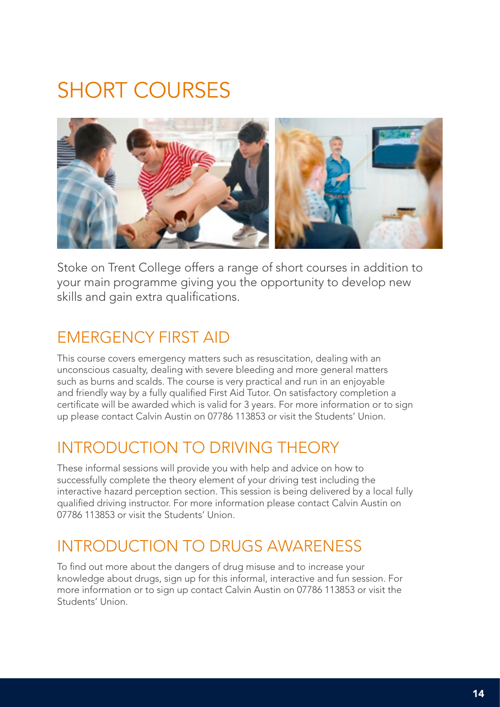## SHORT COURSES



Stoke on Trent College offers a range of short courses in addition to your main programme giving you the opportunity to develop new skills and gain extra qualifications.

#### EMERGENCY FIRST AID

This course covers emergency matters such as resuscitation, dealing with an unconscious casualty, dealing with severe bleeding and more general matters such as burns and scalds. The course is very practical and run in an enjoyable and friendly way by a fully qualified First Aid Tutor. On satisfactory completion a certificate will be awarded which is valid for 3 years. For more information or to sign up please contact Calvin Austin on 07786 113853 or visit the Students' Union.

#### INTRODUCTION TO DRIVING THEORY

These informal sessions will provide you with help and advice on how to successfully complete the theory element of your driving test including the interactive hazard perception section. This session is being delivered by a local fully qualified driving instructor. For more information please contact Calvin Austin on 07786 113853 or visit the Students' Union.

#### INTRODUCTION TO DRUGS AWARENESS

To find out more about the dangers of drug misuse and to increase your knowledge about drugs, sign up for this informal, interactive and fun session. For more information or to sign up contact Calvin Austin on 07786 113853 or visit the Students' Union.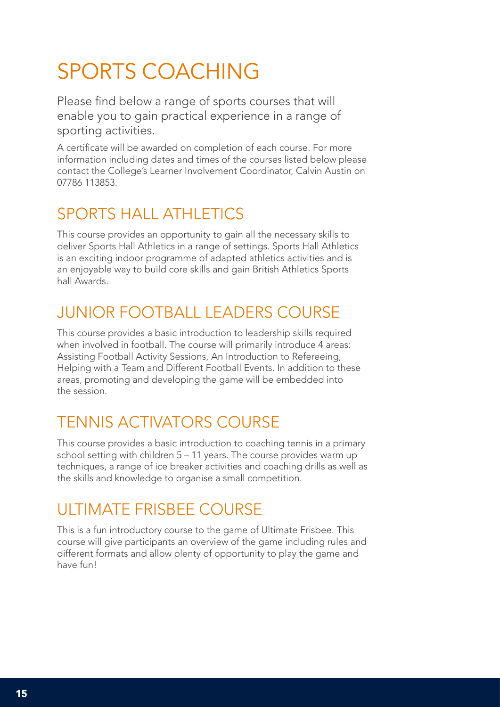## SPORTS COACHING

Please find below a range of sports courses that will enable you to gain practical experience in a range of sporting activities.

A certificate will be awarded on completion of each course. For more information including dates and times of the courses listed below please contact the College's Learner Involvement Coordinator, Calvin Austin on 07786 113853.

#### SPORTS HALL ATHLETICS

This course provides an opportunity to gain all the necessary skills to deliver Sports Hall Athletics in a range of settings. Sports Hall Athletics is an exciting indoor programme of adapted athletics activities and is an enjoyable way to build core skills and gain British Athletics Sports hall Awards.

#### JUNIOR FOOTBALL LEADERS COURSE

This course provides a basic introduction to leadership skills required when involved in football. The course will primarily introduce 4 areas: Assisting Football Activity Sessions, An Introduction to Refereeing, Helping with a Team and Different Football Events. In addition to these areas, promoting and developing the game will be embedded into the session.

#### TENNIS ACTIVATORS COURSE

This course provides a basic introduction to coaching tennis in a primary school setting with children 5 – 11 years. The course provides warm up techniques, a range of ice breaker activities and coaching drills as well as the skills and knowledge to organise a small competition.

#### ULTIMATE FRISBEE COURSE

This is a fun introductory course to the game of Ultimate Frisbee. This course will give participants an overview of the game including rules and different formats and allow plenty of opportunity to play the game and have fun!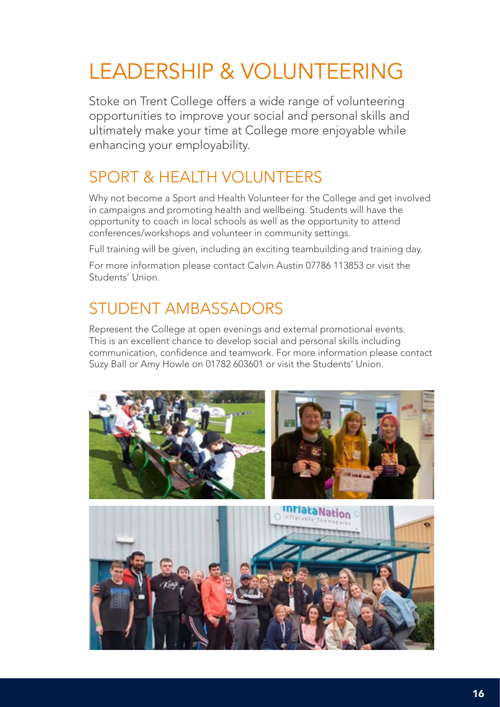## LEADERSHIP & VOLUNTEERING

Stoke on Trent College offers a wide range of volunteering opportunities to improve your social and personal skills and ultimately make your time at College more enjoyable while enhancing your employability.

#### SPORT & HEALTH VOLUNTEERS

Why not become a Sport and Health Volunteer for the College and get involved in campaigns and promoting health and wellbeing. Students will have the opportunity to coach in local schools as well as the opportunity to attend conferences/workshops and volunteer in community settings.

Full training will be given, including an exciting teambuilding and training day.

For more information please contact Calvin Austin 07786 113853 or visit the Students' Union.

#### STUDENT AMBASSADORS

Represent the College at open evenings and external promotional events. This is an excellent chance to develop social and personal skills including communication, confidence and teamwork. For more information please contact Suzy Ball or Amy Howle on 01782 603601 or visit the Students' Union.

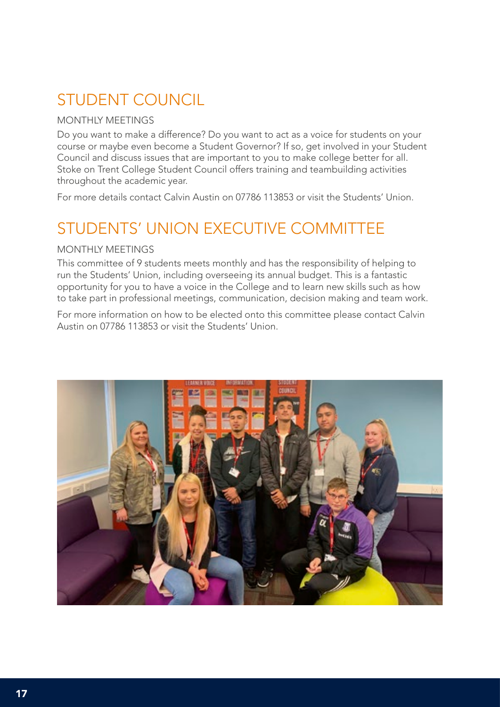#### STUDENT COUNCIL

#### MONTHLY MEETINGS

Do you want to make a difference? Do you want to act as a voice for students on your course or maybe even become a Student Governor? If so, get involved in your Student Council and discuss issues that are important to you to make college better for all. Stoke on Trent College Student Council offers training and teambuilding activities throughout the academic year.

For more details contact Calvin Austin on 07786 113853 or visit the Students' Union.

#### STUDENTS' UNION EXECUTIVE COMMITTEE

#### MONTHLY MEETINGS

This committee of 9 students meets monthly and has the responsibility of helping to run the Students' Union, including overseeing its annual budget. This is a fantastic opportunity for you to have a voice in the College and to learn new skills such as how to take part in professional meetings, communication, decision making and team work.

For more information on how to be elected onto this committee please contact Calvin Austin on 07786 113853 or visit the Students' Union.

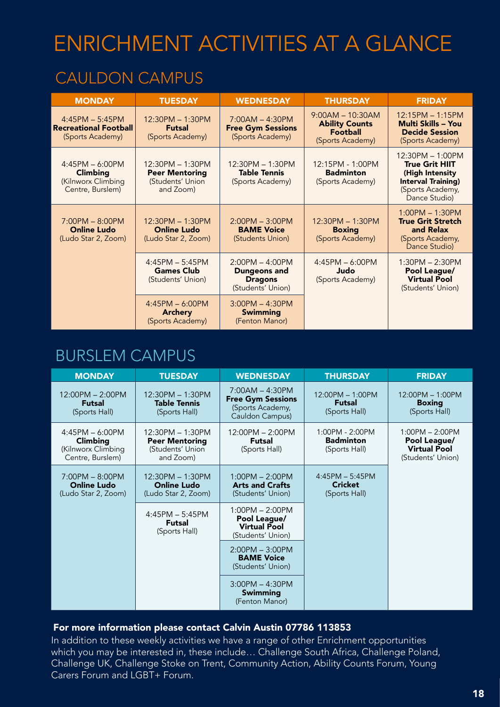## ENRICHMENT ACTIVITIES AT A GLANCE

#### CAULDON CAMPUS

| <b>MONDAY</b>                                                                  | <b>TUESDAY</b>                                                               | <b>WEDNESDAY</b>                                                                | <b>THURSDAY</b>                                                                    | <b>FRIDAY</b>                                                                                                                  |
|--------------------------------------------------------------------------------|------------------------------------------------------------------------------|---------------------------------------------------------------------------------|------------------------------------------------------------------------------------|--------------------------------------------------------------------------------------------------------------------------------|
| $4:45PM - 5:45PM$<br><b>Recreational Football</b><br>(Sports Academy)          | 12:30PM - 1:30PM<br><b>Futsal</b><br>(Sports Academy)                        | $7:00AM - 4:30PM$<br><b>Free Gym Sessions</b><br>(Sports Academy)               | $9:00AM - 10:30AM$<br><b>Ability Counts</b><br><b>Football</b><br>(Sports Academy) | $12:15PM - 1:15PM$<br>Multi Skills - You<br><b>Decide Session</b><br>(Sports Academy)                                          |
| $4:45PM - 6:00PM$<br><b>Climbing</b><br>(Kilnworx Climbing<br>Centre, Burslem) | $12:30PM - 1:30PM$<br><b>Peer Mentoring</b><br>(Students' Union<br>and Zoom) | 12:30PM - 1:30PM<br><b>Table Tennis</b><br>(Sports Academy)                     | 12:15PM - 1:00PM<br><b>Badminton</b><br>(Sports Academy)                           | 12:30PM - 1:00PM<br><b>True Grit HIIT</b><br>(High Intensity<br><b>Interval Training)</b><br>(Sports Academy,<br>Dance Studio) |
| $7:00PM - 8:00PM$<br><b>Online Ludo</b><br>(Ludo Star 2, Zoom)                 | $12:30PM - 1:30PM$<br><b>Online Ludo</b><br>(Ludo Star 2, Zoom)              | $2:00PM - 3:00PM$<br><b>BAME Voice</b><br>(Students Union)                      | $12:30PM - 1:30PM$<br><b>Boxing</b><br>(Sports Academy)                            | $1:00PM - 1:30PM$<br><b>True Grit Stretch</b><br>and Relax<br>(Sports Academy,<br>Dance Studio)                                |
|                                                                                | $4:45PM - 5:45PM$<br><b>Games Club</b><br>(Students' Union)                  | $2:00PM - 4:00PM$<br><b>Dungeons and</b><br><b>Dragons</b><br>(Students' Union) | $4:45PM - 6:00PM$<br>Judo<br>(Sports Academy)                                      | $1:30PM - 2:30PM$<br>Pool League/<br><b>Virtual Pool</b><br>(Students' Union)                                                  |
|                                                                                | $4:45PM - 6:00PM$<br><b>Archery</b><br>(Sports Academy)                      | $3:00PM - 4:30PM$<br><b>Swimming</b><br>(Fenton Manor)                          |                                                                                    |                                                                                                                                |

#### BURSLEM CAMPUS

| <b>MONDAY</b>                                                           | <b>TUESDAY</b>                                                             | <b>WEDNESDAY</b>                                                                     | <b>THURSDAY</b>                                      | <b>FRIDAY</b>                                                                 |
|-------------------------------------------------------------------------|----------------------------------------------------------------------------|--------------------------------------------------------------------------------------|------------------------------------------------------|-------------------------------------------------------------------------------|
| 12:00PM - 2:00PM<br><b>Futsal</b><br>(Sports Hall)                      | 12:30PM - 1:30PM<br><b>Table Tennis</b><br>(Sports Hall)                   | $7:00AM - 4:30PM$<br><b>Free Gym Sessions</b><br>(Sports Academy,<br>Cauldon Campus) | $12:00PM - 1:00PM$<br><b>Futsal</b><br>(Sports Hall) | $12:00PM - 1:00PM$<br><b>Boxing</b><br>(Sports Hall)                          |
| $4:45PM - 6:00PM$<br>Climbing<br>(Kilnworx Climbing<br>Centre, Burslem) | 12:30PM - 1:30PM<br><b>Peer Mentoring</b><br>(Students' Union<br>and Zoom) | 12:00PM - 2:00PM<br><b>Futsal</b><br>(Sports Hall)                                   | 1:00PM - 2:00PM<br><b>Badminton</b><br>(Sports Hall) | $1:00PM - 2:00PM$<br>Pool League/<br><b>Virtual Pool</b><br>(Students' Union) |
| $7:00PM - 8:00PM$<br><b>Online Ludo</b><br>(Ludo Star 2, Zoom)          | 12:30PM - 1:30PM<br><b>Online Ludo</b><br>(Ludo Star 2, Zoom)              | $1:00PM - 2:00PM$<br><b>Arts and Crafts</b><br>(Students' Union)                     | $4:45PM - 5:45PM$<br><b>Cricket</b><br>(Sports Hall) |                                                                               |
|                                                                         | $4:45PM - 5:45PM$<br><b>Futsal</b><br>(Sports Hall)                        | $1:00PM - 2:00PM$<br>Pool League/<br><b>Virtual Pool</b><br>(Students' Union)        |                                                      |                                                                               |
|                                                                         |                                                                            | $2:00PM - 3:00PM$<br><b>BAME Voice</b><br>(Students' Union)                          |                                                      |                                                                               |
|                                                                         |                                                                            | $3:00PM - 4:30PM$<br><b>Swimming</b><br>(Fenton Manor)                               |                                                      |                                                                               |

#### For more information please contact Calvin Austin 07786 113853

In addition to these weekly activities we have a range of other Enrichment opportunities which you may be interested in, these include… Challenge South Africa, Challenge Poland, Challenge UK, Challenge Stoke on Trent, Community Action, Ability Counts Forum, Young Carers Forum and LGBT+ Forum.